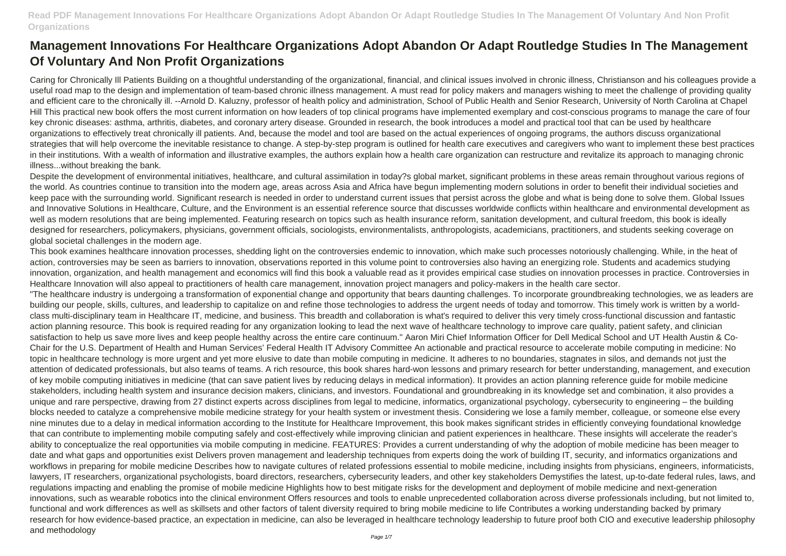Caring for Chronically Ill Patients Building on a thoughtful understanding of the organizational, financial, and clinical issues involved in chronic illness, Christianson and his colleagues provide a useful road map to the design and implementation of team-based chronic illness management. A must read for policy makers and managers wishing to meet the challenge of providing quality and efficient care to the chronically ill. --Arnold D. Kaluzny, professor of health policy and administration, School of Public Health and Senior Research, University of North Carolina at Chapel Hill This practical new book offers the most current information on how leaders of top clinical programs have implemented exemplary and cost-conscious programs to manage the care of four key chronic diseases: asthma, arthritis, diabetes, and coronary artery disease. Grounded in research, the book introduces a model and practical tool that can be used by healthcare organizations to effectively treat chronically ill patients. And, because the model and tool are based on the actual experiences of ongoing programs, the authors discuss organizational strategies that will help overcome the inevitable resistance to change. A step-by-step program is outlined for health care executives and caregivers who want to implement these best practices in their institutions. With a wealth of information and illustrative examples, the authors explain how a health care organization can restructure and revitalize its approach to managing chronic illness...without breaking the bank.

Despite the development of environmental initiatives, healthcare, and cultural assimilation in today?s global market, significant problems in these areas remain throughout various regions of the world. As countries continue to transition into the modern age, areas across Asia and Africa have begun implementing modern solutions in order to benefit their individual societies and keep pace with the surrounding world. Significant research is needed in order to understand current issues that persist across the globe and what is being done to solve them. Global Issues and Innovative Solutions in Healthcare, Culture, and the Environment is an essential reference source that discusses worldwide conflicts within healthcare and environmental development as well as modern resolutions that are being implemented. Featuring research on topics such as health insurance reform, sanitation development, and cultural freedom, this book is ideally designed for researchers, policymakers, physicians, government officials, sociologists, environmentalists, anthropologists, academicians, practitioners, and students seeking coverage on global societal challenges in the modern age.

This book examines healthcare innovation processes, shedding light on the controversies endemic to innovation, which make such processes notoriously challenging. While, in the heat of action, controversies may be seen as barriers to innovation, observations reported in this volume point to controversies also having an energizing role. Students and academics studying innovation, organization, and health management and economics will find this book a valuable read as it provides empirical case studies on innovation processes in practice. Controversies in Healthcare Innovation will also appeal to practitioners of health care management, innovation project managers and policy-makers in the health care sector. "The healthcare industry is undergoing a transformation of exponential change and opportunity that bears daunting challenges. To incorporate groundbreaking technologies, we as leaders are building our people, skills, cultures, and leadership to capitalize on and refine those technologies to address the urgent needs of today and tomorrow. This timely work is written by a worldclass multi-disciplinary team in Healthcare IT, medicine, and business. This breadth and collaboration is what's required to deliver this very timely cross-functional discussion and fantastic action planning resource. This book is required reading for any organization looking to lead the next wave of healthcare technology to improve care quality, patient safety, and clinician satisfaction to help us save more lives and keep people healthy across the entire care continuum." Aaron Miri Chief Information Officer for Dell Medical School and UT Health Austin & Co-Chair for the U.S. Department of Health and Human Services' Federal Health IT Advisory Committee An actionable and practical resource to accelerate mobile computing in medicine: No topic in healthcare technology is more urgent and yet more elusive to date than mobile computing in medicine. It adheres to no boundaries, stagnates in silos, and demands not just the attention of dedicated professionals, but also teams of teams. A rich resource, this book shares hard-won lessons and primary research for better understanding, management, and execution of key mobile computing initiatives in medicine (that can save patient lives by reducing delays in medical information). It provides an action planning reference guide for mobile medicine stakeholders, including health system and insurance decision makers, clinicians, and investors. Foundational and groundbreaking in its knowledge set and combination, it also provides a unique and rare perspective, drawing from 27 distinct experts across disciplines from legal to medicine, informatics, organizational psychology, cybersecurity to engineering – the building blocks needed to catalyze a comprehensive mobile medicine strategy for your health system or investment thesis. Considering we lose a family member, colleague, or someone else every nine minutes due to a delay in medical information according to the Institute for Healthcare Improvement, this book makes significant strides in efficiently conveying foundational knowledge that can contribute to implementing mobile computing safely and cost-effectively while improving clinician and patient experiences in healthcare. These insights will accelerate the reader's ability to conceptualize the real opportunities via mobile computing in medicine. FEATURES: Provides a current understanding of why the adoption of mobile medicine has been meager to date and what gaps and opportunities exist Delivers proven management and leadership techniques from experts doing the work of building IT, security, and informatics organizations and workflows in preparing for mobile medicine Describes how to navigate cultures of related professions essential to mobile medicine, including insights from physicians, engineers, informaticists, lawyers, IT researchers, organizational psychologists, board directors, researchers, cybersecurity leaders, and other key stakeholders Demystifies the latest, up-to-date federal rules. laws, and regulations impacting and enabling the promise of mobile medicine Highlights how to best mitigate risks for the development and deployment of mobile medicine and next-generation innovations, such as wearable robotics into the clinical environment Offers resources and tools to enable unprecedented collaboration across diverse professionals including, but not limited to, functional and work differences as well as skillsets and other factors of talent diversity required to bring mobile medicine to life Contributes a working understanding backed by primary research for how evidence-based practice, an expectation in medicine, can also be leveraged in healthcare technology leadership to future proof both CIO and executive leadership philosophy and methodology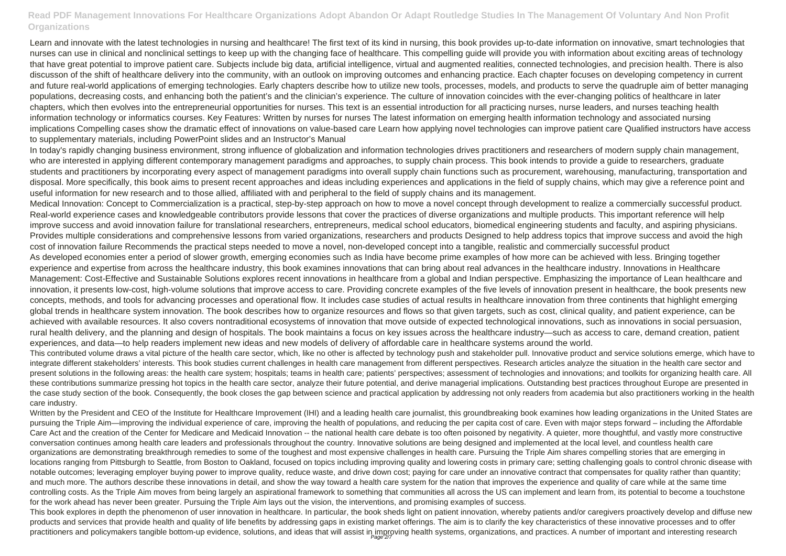Learn and innovate with the latest technologies in nursing and healthcare! The first text of its kind in nursing, this book provides up-to-date information on innovative, smart technologies that nurses can use in clinical and nonclinical settings to keep up with the changing face of healthcare. This compelling guide will provide you with information about exciting areas of technology that have great potential to improve patient care. Subjects include big data, artificial intelligence, virtual and augmented realities, connected technologies, and precision health. There is also discusson of the shift of healthcare delivery into the community, with an outlook on improving outcomes and enhancing practice. Each chapter focuses on developing competency in current and future real-world applications of emerging technologies. Early chapters describe how to utilize new tools, processes, models, and products to serve the quadruple aim of better managing populations, decreasing costs, and enhancing both the patient's and the clinician's experience. The culture of innovation coincides with the ever-changing politics of healthcare in later chapters, which then evolves into the entrepreneurial opportunities for nurses. This text is an essential introduction for all practicing nurses, nurse leaders, and nurses teaching health information technology or informatics courses. Key Features: Written by nurses for nurses The latest information on emerging health information technology and associated nursing implications Compelling cases show the dramatic effect of innovations on value-based care Learn how applying novel technologies can improve patient care Qualified instructors have access to supplementary materials, including PowerPoint slides and an Instructor's Manual

In today's rapidly changing business environment, strong influence of globalization and information technologies drives practitioners and researchers of modern supply chain management, who are interested in applying different contemporary management paradigms and approaches, to supply chain process. This book intends to provide a guide to researchers, graduate students and practitioners by incorporating every aspect of management paradigms into overall supply chain functions such as procurement, warehousing, manufacturing, transportation and disposal. More specifically, this book aims to present recent approaches and ideas including experiences and applications in the field of supply chains, which may give a reference point and useful information for new research and to those allied, affiliated with and peripheral to the field of supply chains and its management.

Written by the President and CEO of the Institute for Healthcare Improvement (IHI) and a leading health care journalist, this groundbreaking book examines how leading organizations in the United States are pursuing the Triple Aim—improving the individual experience of care, improving the health of populations, and reducing the per capita cost of care. Even with major steps forward – including the Affordable Care Act and the creation of the Center for Medicare and Medicaid Innovation -- the national health care debate is too often poisoned by negativity. A quieter, more thoughtful, and vastly more constructive conversation continues among health care leaders and professionals throughout the country. Innovative solutions are being designed and implemented at the local level, and countless health care organizations are demonstrating breakthrough remedies to some of the toughest and most expensive challenges in health care. Pursuing the Triple Aim shares compelling stories that are emerging in locations ranging from Pittsburgh to Seattle, from Boston to Oakland, focused on topics including improving quality and lowering costs in primary care; setting challenging goals to control chronic disease with notable outcomes; leveraging employer buying power to improve quality, reduce waste, and drive down cost; paying for care under an innovative contract that compensates for quality rather than quantity; and much more. The authors describe these innovations in detail, and show the way toward a health care system for the nation that improves the experience and quality of care while at the same time controlling costs. As the Triple Aim moves from being largely an aspirational framework to something that communities all across the US can implement and learn from, its potential to become a touchstone for the work ahead has never been greater. Pursuing the Triple Aim lays out the vision, the interventions, and promising examples of success.

This book explores in depth the phenomenon of user innovation in healthcare. In particular, the book sheds light on patient innovation, whereby patients and/or caregivers proactively develop and diffuse new products and services that provide health and quality of life benefits by addressing gaps in existing market offerings. The aim is to clarify the key characteristics of these innovative processes and to offer practitioners and policymakers tangible bottom-up evidence, solutions, and ideas that will assist in improving health systems, organizations, and practices. A number of important and interesting research

Medical Innovation: Concept to Commercialization is a practical, step-by-step approach on how to move a novel concept through development to realize a commercially successful product. Real-world experience cases and knowledgeable contributors provide lessons that cover the practices of diverse organizations and multiple products. This important reference will help improve success and avoid innovation failure for translational researchers, entrepreneurs, medical school educators, biomedical engineering students and faculty, and aspiring physicians. Provides multiple considerations and comprehensive lessons from varied organizations, researchers and products Designed to help address topics that improve success and avoid the high cost of innovation failure Recommends the practical steps needed to move a novel, non-developed concept into a tangible, realistic and commercially successful product As developed economies enter a period of slower growth, emerging economies such as India have become prime examples of how more can be achieved with less. Bringing together experience and expertise from across the healthcare industry, this book examines innovations that can bring about real advances in the healthcare industry. Innovations in Healthcare Management: Cost-Effective and Sustainable Solutions explores recent innovations in healthcare from a global and Indian perspective. Emphasizing the importance of Lean healthcare and innovation, it presents low-cost, high-volume solutions that improve access to care. Providing concrete examples of the five levels of innovation present in healthcare, the book presents new concepts, methods, and tools for advancing processes and operational flow. It includes case studies of actual results in healthcare innovation from three continents that highlight emerging global trends in healthcare system innovation. The book describes how to organize resources and flows so that given targets, such as cost, clinical quality, and patient experience, can be achieved with available resources. It also covers nontraditional ecosystems of innovation that move outside of expected technological innovations, such as innovations in social persuasion, rural health delivery, and the planning and design of hospitals. The book maintains a focus on key issues across the healthcare industry—such as access to care, demand creation, patient experiences, and data—to help readers implement new ideas and new models of delivery of affordable care in healthcare systems around the world. This contributed volume draws a vital picture of the health care sector, which, like no other is affected by technology push and stakeholder pull. Innovative product and service solutions emerge, which have to integrate different stakeholders' interests. This book studies current challenges in health care management from different perspectives. Research articles analyze the situation in the health care sector and present solutions in the following areas: the health care system; hospitals; teams in health care; patients' perspectives; assessment of technologies and innovations; and toolkits for organizing health care. All these contributions summarize pressing hot topics in the health care sector, analyze their future potential, and derive managerial implications. Outstanding best practices throughout Europe are presented in the case study section of the book. Consequently, the book closes the gap between science and practical application by addressing not only readers from academia but also practitioners working in the health care industry.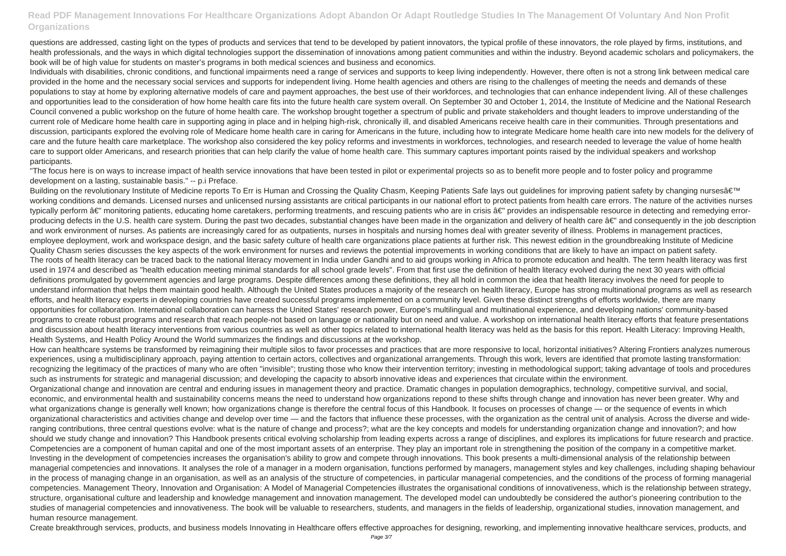questions are addressed, casting light on the types of products and services that tend to be developed by patient innovators, the typical profile of these innovators, the role played by firms, institutions, and health professionals, and the ways in which digital technologies support the dissemination of innovations among patient communities and within the industry. Beyond academic scholars and policymakers, the book will be of high value for students on master's programs in both medical sciences and business and economics.

Individuals with disabilities, chronic conditions, and functional impairments need a range of services and supports to keep living independently. However, there often is not a strong link between medical care provided in the home and the necessary social services and supports for independent living. Home health agencies and others are rising to the challenges of meeting the needs and demands of these populations to stay at home by exploring alternative models of care and payment approaches, the best use of their workforces, and technologies that can enhance independent living. All of these challenges and opportunities lead to the consideration of how home health care fits into the future health care system overall. On September 30 and October 1, 2014, the Institute of Medicine and the National Research Council convened a public workshop on the future of home health care. The workshop brought together a spectrum of public and private stakeholders and thought leaders to improve understanding of the current role of Medicare home health care in supporting aging in place and in helping high-risk, chronically ill, and disabled Americans receive health care in their communities. Through presentations and discussion, participants explored the evolving role of Medicare home health care in caring for Americans in the future, including how to integrate Medicare home health care into new models for the delivery of care and the future health care marketplace. The workshop also considered the key policy reforms and investments in workforces, technologies, and research needed to leverage the value of home health care to support older Americans, and research priorities that can help clarify the value of home health care. This summary captures important points raised by the individual speakers and workshop participants.

"The focus here is on ways to increase impact of health service innovations that have been tested in pilot or experimental projects so as to benefit more people and to foster policy and programme development on a lasting, sustainable basis." -- p.i Preface.

Building on the revolutionary Institute of Medicine reports To Err is Human and Crossing the Quality Chasm, Keeping Patients Safe lays out quidelines for improving patient safety by changing nurses' working conditions and demands. Licensed nurses and unlicensed nursing assistants are critical participants in our national effort to protect patients from health care errors. The nature of the activities nurses typically perform â€" monitoring patients, educating home caretakers, performing treatments, and rescuing patients who are in crisis â€" provides an indispensable resource in detecting and remedying errorproducing defects in the U.S. health care system. During the past two decades, substantial changes have been made in the organization and delivery of health care â€" and consequently in the job description and work environment of nurses. As patients are increasingly cared for as outpatients, nurses in hospitals and nursing homes deal with greater severity of illness. Problems in management practices, employee deployment, work and workspace design, and the basic safety culture of health care organizations place patients at further risk. This newest edition in the groundbreaking Institute of Medicine Quality Chasm series discusses the key aspects of the work environment for nurses and reviews the potential improvements in working conditions that are likely to have an impact on patient safety. The roots of health literacy can be traced back to the national literacy movement in India under Gandhi and to aid groups working in Africa to promote education and health. The term health literacy was first used in 1974 and described as "health education meeting minimal standards for all school grade levels". From that first use the definition of health literacy evolved during the next 30 years with official definitions promulgated by government agencies and large programs. Despite differences among these definitions, they all hold in common the idea that health literacy involves the need for people to understand information that helps them maintain good health. Although the United States produces a majority of the research on health literacy, Europe has strong multinational programs as well as research efforts, and health literacy experts in developing countries have created successful programs implemented on a community level. Given these distinct strengths of efforts worldwide, there are many opportunities for collaboration. International collaboration can harness the United States' research power, Europe's multilingual and multinational experience, and developing nations' community-based programs to create robust programs and research that reach people-not based on language or nationality but on need and value. A workshop on international health literacy efforts that feature presentations and discussion about health literacy interventions from various countries as well as other topics related to international health literacy was held as the basis for this report. Health Literacy: Improving Health, Health Systems, and Health Policy Around the World summarizes the findings and discussions at the workshop.

How can healthcare systems be transformed by reimagining their multiple silos to favor processes and practices that are more responsive to local, horizontal initiatives? Altering Frontiers analyzes numerous experiences, using a multidisciplinary approach, paying attention to certain actors, collectives and organizational arrangements. Through this work, levers are identified that promote lasting transformation: recognizing the legitimacy of the practices of many who are often "invisible"; trusting those who know their intervention territory; investing in methodological support; taking advantage of tools and procedures such as instruments for strategic and managerial discussion; and developing the capacity to absorb innovative ideas and experiences that circulate within the environment. Organizational change and innovation are central and enduring issues in management theory and practice. Dramatic changes in population demographics, technology, competitive survival, and social, economic, and environmental health and sustainability concerns means the need to understand how organizations repond to these shifts through change and innovation has never been greater. Why and what organizations change is generally well known; how organizations change is therefore the central focus of this Handbook. It focuses on processes of change — or the sequence of events in which organizational characteristics and activities change and develop over time — and the factors that influence these processes, with the organization as the central unit of analysis. Across the diverse and wideranging contributions, three central questions evolve: what is the nature of change and process?; what are the key concepts and models for understanding organization change and innovation?; and how should we study change and innovation? This Handbook presents critical evolving scholarship from leading experts across a range of disciplines, and explores its implications for future research and practice. Competencies are a component of human capital and one of the most important assets of an enterprise. They play an important role in strengthening the position of the company in a competitive market. Investing in the development of competencies increases the organisation's ability to grow and compete through innovations. This book presents a multi-dimensional analysis of the relationship between managerial competencies and innovations. It analyses the role of a manager in a modern organisation, functions performed by managers, management styles and key challenges, including shaping behaviour in the process of managing change in an organisation, as well as an analysis of the structure of competencies, in particular managerial competencies, and the conditions of the process of forming managerial competencies. Management Theory, Innovation and Organisation: A Model of Managerial Competencies illustrates the organisational conditions of innovativeness, which is the relationship between strategy, structure, organisational culture and leadership and knowledge management and innovation management. The developed model can undoubtedly be considered the author's pioneering contribution to the studies of managerial competencies and innovativeness. The book will be valuable to researchers, students, and managers in the fields of leadership, organizational studies, innovation management, and human resource management.

Create breakthrough services, products, and business models Innovating in Healthcare offers effective approaches for designing, reworking, and implementing innovative healthcare services, products, and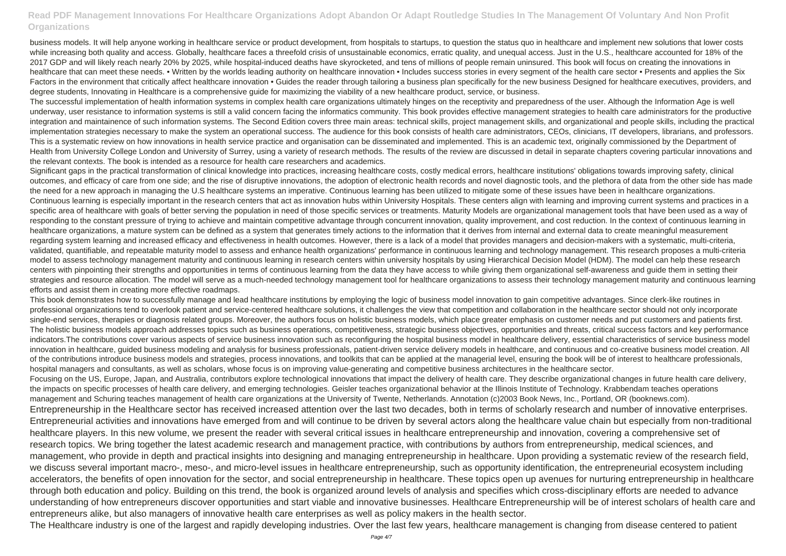business models. It will help anyone working in healthcare service or product development, from hospitals to startups, to question the status quo in healthcare and implement new solutions that lower costs while increasing both quality and access. Globally, healthcare faces a threefold crisis of unsustainable economics, erratic quality, and unequal access. Just in the U.S., healthcare accounted for 18% of the 2017 GDP and will likely reach nearly 20% by 2025, while hospital-induced deaths have skyrocketed, and tens of millions of people remain uninsured. This book will focus on creating the innovations in healthcare that can meet these needs. • Written by the worlds leading authority on healthcare innovation • Includes success stories in every segment of the health care sector • Presents and applies the Six Factors in the environment that critically affect healthcare innovation • Guides the reader through tailoring a business plan specifically for the new business Designed for healthcare executives, providers, and degree students, Innovating in Healthcare is a comprehensive guide for maximizing the viability of a new healthcare product, service, or business.

The successful implementation of health information systems in complex health care organizations ultimately hinges on the receptivity and preparedness of the user. Although the Information Age is well underway, user resistance to information systems is still a valid concern facing the informatics community. This book provides effective management strategies to health care administrators for the productive integration and maintainence of such information systems. The Second Edition covers three main areas: technical skills, project management skills, and organizational and people skills, including the practical implementation strategies necessary to make the system an operational success. The audience for this book consists of health care administrators, CEOs, clinicians, IT developers, librarians, and professors. This is a systematic review on how innovations in health service practice and organisation can be disseminated and implemented. This is an academic text, originally commissioned by the Department of Health from University College London and University of Surrey, using a variety of research methods. The results of the review are discussed in detail in separate chapters covering particular innovations and the relevant contexts. The book is intended as a resource for health care researchers and academics.

Significant gaps in the practical transformation of clinical knowledge into practices, increasing healthcare costs, costly medical errors, healthcare institutions' obligations towards improving safety, clinical outcomes, and efficacy of care from one side; and the rise of disruptive innovations, the adoption of electronic health records and novel diagnostic tools, and the plethora of data from the other side has made the need for a new approach in managing the U.S healthcare systems an imperative. Continuous learning has been utilized to mitigate some of these issues have been in healthcare organizations. Continuous learning is especially important in the research centers that act as innovation hubs within University Hospitals. These centers align with learning and improving current systems and practices in a specific area of healthcare with goals of better serving the population in need of those specific services or treatments. Maturity Models are organizational management tools that have been used as a way of responding to the constant pressure of trying to achieve and maintain competitive advantage through concurrent innovation, quality improvement, and cost reduction. In the context of continuous learning in healthcare organizations, a mature system can be defined as a system that generates timely actions to the information that it derives from internal and external data to create meaningful measurement regarding system learning and increased efficacy and effectiveness in health outcomes. However, there is a lack of a model that provides managers and decision-makers with a systematic, multi-criteria, validated, quantifiable, and repeatable maturity model to assess and enhance health organizations' performance in continuous learning and technology management. This research proposes a multi-criteria model to assess technology management maturity and continuous learning in research centers within university hospitals by using Hierarchical Decision Model (HDM). The model can help these research centers with pinpointing their strengths and opportunities in terms of continuous learning from the data they have access to while giving them organizational self-awareness and guide them in setting their strategies and resource allocation. The model will serve as a much-needed technology management tool for healthcare organizations to assess their technology management maturity and continuous learning efforts and assist them in creating more effective roadmaps.

This book demonstrates how to successfully manage and lead healthcare institutions by employing the logic of business model innovation to gain competitive advantages. Since clerk-like routines in professional organizations tend to overlook patient and service-centered healthcare solutions, it challenges the view that competition and collaboration in the healthcare sector should not only incorporate single-end services, therapies or diagnosis related groups. Moreover, the authors focus on holistic business models, which place greater emphasis on customer needs and put customers and patients first. The holistic business models approach addresses topics such as business operations, competitiveness, strategic business objectives, opportunities and threats, critical success factors and key performance indicators.The contributions cover various aspects of service business innovation such as reconfiguring the hospital business model in healthcare delivery, essential characteristics of service business model innovation in healthcare, guided business modeling and analysis for business professionals, patient-driven service delivery models in healthcare, and continuous and co-creative business model creation. All of the contributions introduce business models and strategies, process innovations, and toolkits that can be applied at the managerial level, ensuring the book will be of interest to healthcare professionals, hospital managers and consultants, as well as scholars, whose focus is on improving value-generating and competitive business architectures in the healthcare sector. Focusing on the US, Europe, Japan, and Australia, contributors explore technological innovations that impact the delivery of health care. They describe organizational changes in future health care delivery, the impacts on specific processes of health care delivery, and emerging technologies. Geisler teaches organizational behavior at the Illinois Institute of Technology. Krabbendam teaches operations management and Schuring teaches management of health care organizations at the University of Twente, Netherlands. Annotation (c)2003 Book News, Inc., Portland, OR (booknews.com). Entrepreneurship in the Healthcare sector has received increased attention over the last two decades, both in terms of scholarly research and number of innovative enterprises. Entrepreneurial activities and innovations have emerged from and will continue to be driven by several actors along the healthcare value chain but especially from non-traditional healthcare players. In this new volume, we present the reader with several critical issues in healthcare entrepreneurship and innovation, covering a comprehensive set of research topics. We bring together the latest academic research and management practice, with contributions by authors from entrepreneurship, medical sciences, and management, who provide in depth and practical insights into designing and managing entrepreneurship in healthcare. Upon providing a systematic review of the research field, we discuss several important macro-, meso-, and micro-level issues in healthcare entrepreneurship, such as opportunity identification, the entrepreneurial ecosystem including accelerators, the benefits of open innovation for the sector, and social entrepreneurship in healthcare. These topics open up avenues for nurturing entrepreneurship in healthcare through both education and policy. Building on this trend, the book is organized around levels of analysis and specifies which cross-disciplinary efforts are needed to advance understanding of how entrepreneurs discover opportunities and start viable and innovative businesses. Healthcare Entrepreneurship will be of interest scholars of health care and entrepreneurs alike, but also managers of innovative health care enterprises as well as policy makers in the health sector. The Healthcare industry is one of the largest and rapidly developing industries. Over the last few years, healthcare management is changing from disease centered to patient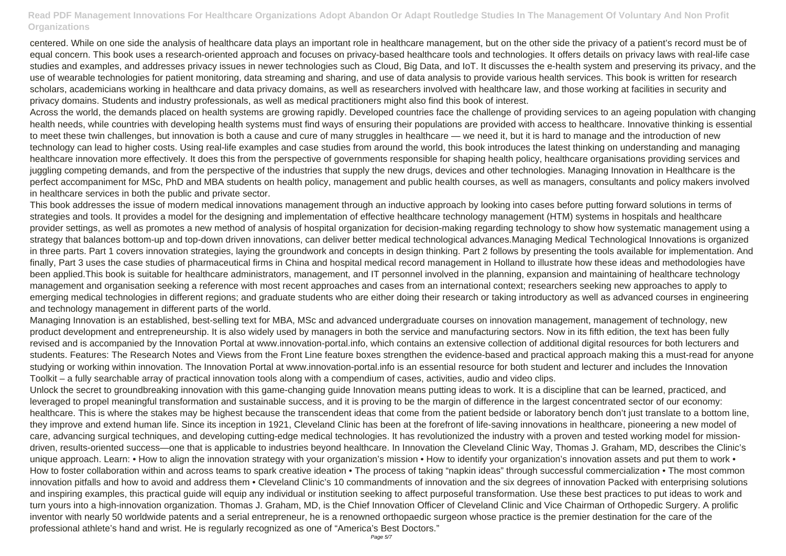centered. While on one side the analysis of healthcare data plays an important role in healthcare management, but on the other side the privacy of a patient's record must be of equal concern. This book uses a research-oriented approach and focuses on privacy-based healthcare tools and technologies. It offers details on privacy laws with real-life case studies and examples, and addresses privacy issues in newer technologies such as Cloud, Big Data, and IoT. It discusses the e-health system and preserving its privacy, and the use of wearable technologies for patient monitoring, data streaming and sharing, and use of data analysis to provide various health services. This book is written for research scholars, academicians working in healthcare and data privacy domains, as well as researchers involved with healthcare law, and those working at facilities in security and privacy domains. Students and industry professionals, as well as medical practitioners might also find this book of interest.

Across the world, the demands placed on health systems are growing rapidly. Developed countries face the challenge of providing services to an ageing population with changing health needs, while countries with developing health systems must find ways of ensuring their populations are provided with access to healthcare. Innovative thinking is essential to meet these twin challenges, but innovation is both a cause and cure of many struggles in healthcare — we need it, but it is hard to manage and the introduction of new technology can lead to higher costs. Using real-life examples and case studies from around the world, this book introduces the latest thinking on understanding and managing healthcare innovation more effectively. It does this from the perspective of governments responsible for shaping health policy, healthcare organisations providing services and juggling competing demands, and from the perspective of the industries that supply the new drugs, devices and other technologies. Managing Innovation in Healthcare is the perfect accompaniment for MSc, PhD and MBA students on health policy, management and public health courses, as well as managers, consultants and policy makers involved in healthcare services in both the public and private sector.

This book addresses the issue of modern medical innovations management through an inductive approach by looking into cases before putting forward solutions in terms of strategies and tools. It provides a model for the designing and implementation of effective healthcare technology management (HTM) systems in hospitals and healthcare provider settings, as well as promotes a new method of analysis of hospital organization for decision-making regarding technology to show how systematic management using a strategy that balances bottom-up and top-down driven innovations, can deliver better medical technological advances.Managing Medical Technological Innovations is organized in three parts. Part 1 covers innovation strategies, laying the groundwork and concepts in design thinking. Part 2 follows by presenting the tools available for implementation. And finally, Part 3 uses the case studies of pharmaceutical firms in China and hospital medical record management in Holland to illustrate how these ideas and methodologies have been applied.This book is suitable for healthcare administrators, management, and IT personnel involved in the planning, expansion and maintaining of healthcare technology management and organisation seeking a reference with most recent approaches and cases from an international context; researchers seeking new approaches to apply to emerging medical technologies in different regions; and graduate students who are either doing their research or taking introductory as well as advanced courses in engineering and technology management in different parts of the world.

Managing Innovation is an established, best-selling text for MBA, MSc and advanced undergraduate courses on innovation management, management of technology, new product development and entrepreneurship. It is also widely used by managers in both the service and manufacturing sectors. Now in its fifth edition, the text has been fully revised and is accompanied by the Innovation Portal at www.innovation-portal.info, which contains an extensive collection of additional digital resources for both lecturers and students. Features: The Research Notes and Views from the Front Line feature boxes strengthen the evidence-based and practical approach making this a must-read for anyone studying or working within innovation. The Innovation Portal at www.innovation-portal.info is an essential resource for both student and lecturer and includes the Innovation Toolkit – a fully searchable array of practical innovation tools along with a compendium of cases, activities, audio and video clips.

Unlock the secret to groundbreaking innovation with this game-changing guide Innovation means putting ideas to work. It is a discipline that can be learned, practiced, and leveraged to propel meaningful transformation and sustainable success, and it is proving to be the margin of difference in the largest concentrated sector of our economy: healthcare. This is where the stakes may be highest because the transcendent ideas that come from the patient bedside or laboratory bench don't just translate to a bottom line, they improve and extend human life. Since its inception in 1921, Cleveland Clinic has been at the forefront of life-saving innovations in healthcare, pioneering a new model of care, advancing surgical techniques, and developing cutting-edge medical technologies. It has revolutionized the industry with a proven and tested working model for missiondriven, results-oriented success—one that is applicable to industries beyond healthcare. In Innovation the Cleveland Clinic Way, Thomas J. Graham, MD, describes the Clinic's unique approach. Learn: • How to align the innovation strategy with your organization's mission • How to identify your organization's innovation assets and put them to work • How to foster collaboration within and across teams to spark creative ideation • The process of taking "napkin ideas" through successful commercialization • The most common innovation pitfalls and how to avoid and address them • Cleveland Clinic's 10 commandments of innovation and the six degrees of innovation Packed with enterprising solutions and inspiring examples, this practical guide will equip any individual or institution seeking to affect purposeful transformation. Use these best practices to put ideas to work and turn yours into a high-innovation organization. Thomas J. Graham, MD, is the Chief Innovation Officer of Cleveland Clinic and Vice Chairman of Orthopedic Surgery. A prolific inventor with nearly 50 worldwide patents and a serial entrepreneur, he is a renowned orthopaedic surgeon whose practice is the premier destination for the care of the professional athlete's hand and wrist. He is regularly recognized as one of "America's Best Doctors."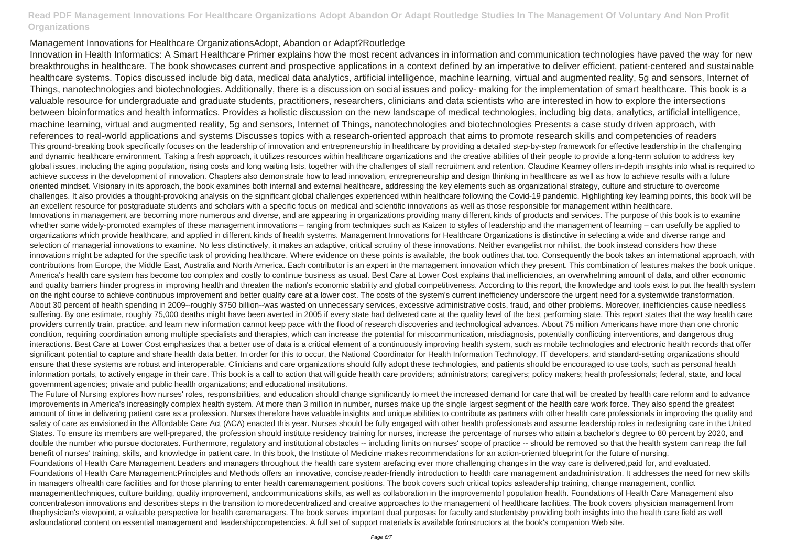#### Management Innovations for Healthcare OrganizationsAdopt, Abandon or Adapt?Routledge

Innovation in Health Informatics: A Smart Healthcare Primer explains how the most recent advances in information and communication technologies have paved the way for new breakthroughs in healthcare. The book showcases current and prospective applications in a context defined by an imperative to deliver efficient, patient-centered and sustainable healthcare systems. Topics discussed include big data, medical data analytics, artificial intelligence, machine learning, virtual and augmented reality, 5g and sensors, Internet of Things, nanotechnologies and biotechnologies. Additionally, there is a discussion on social issues and policy- making for the implementation of smart healthcare. This book is a valuable resource for undergraduate and graduate students, practitioners, researchers, clinicians and data scientists who are interested in how to explore the intersections between bioinformatics and health informatics. Provides a holistic discussion on the new landscape of medical technologies, including big data, analytics, artificial intelligence, machine learning, virtual and augmented reality, 5g and sensors, Internet of Things, nanotechnologies and biotechnologies Presents a case study driven approach, with references to real-world applications and systems Discusses topics with a research-oriented approach that aims to promote research skills and competencies of readers This ground-breaking book specifically focuses on the leadership of innovation and entrepreneurship in healthcare by providing a detailed step-by-step framework for effective leadership in the challenging and dynamic healthcare environment. Taking a fresh approach, it utilizes resources within healthcare organizations and the creative abilities of their people to provide a long-term solution to address key global issues, including the aging population, rising costs and long waiting lists, together with the challenges of staff recruitment and retention. Claudine Kearney offers in-depth insights into what is required to achieve success in the development of innovation. Chapters also demonstrate how to lead innovation, entrepreneurship and design thinking in healthcare as well as how to achieve results with a future oriented mindset. Visionary in its approach, the book examines both internal and external healthcare, addressing the key elements such as organizational strategy, culture and structure to overcome challenges. It also provides a thought-provoking analysis on the significant global challenges experienced within healthcare following the Covid-19 pandemic. Highlighting key learning points, this book will be an excellent resource for postgraduate students and scholars with a specific focus on medical and scientific innovations as well as those responsible for management within healthcare. Innovations in management are becoming more numerous and diverse, and are appearing in organizations providing many different kinds of products and services. The purpose of this book is to examine whether some widely-promoted examples of these management innovations – ranging from techniques such as Kaizen to styles of leadership and the management of learning – can usefully be applied to organizations which provide healthcare, and applied in different kinds of health systems. Management Innovations for Healthcare Organizations is distinctive in selecting a wide and diverse range and selection of managerial innovations to examine. No less distinctively, it makes an adaptive, critical scrutiny of these innovations. Neither evangelist nor nihilist, the book instead considers how these innovations might be adapted for the specific task of providing healthcare. Where evidence on these points is available, the book outlines that too. Consequently the book takes an international approach, with contributions from Europe, the Middle East, Australia and North America. Each contributor is an expert in the management innovation which they present. This combination of features makes the book unique. America's health care system has become too complex and costly to continue business as usual. Best Care at Lower Cost explains that inefficiencies, an overwhelming amount of data, and other economic and quality barriers hinder progress in improving health and threaten the nation's economic stability and global competitiveness. According to this report, the knowledge and tools exist to put the health system on the right course to achieve continuous improvement and better quality care at a lower cost. The costs of the system's current inefficiency underscore the urgent need for a systemwide transformation. About 30 percent of health spending in 2009--roughly \$750 billion--was wasted on unnecessary services, excessive administrative costs, fraud, and other problems. Moreover, inefficiencies cause needless suffering. By one estimate, roughly 75,000 deaths might have been averted in 2005 if every state had delivered care at the quality level of the best performing state. This report states that the way health care providers currently train, practice, and learn new information cannot keep pace with the flood of research discoveries and technological advances. About 75 million Americans have more than one chronic condition, requiring coordination among multiple specialists and therapies, which can increase the potential for miscommunication, misdiagnosis, potentially conflicting interventions, and dangerous drug interactions. Best Care at Lower Cost emphasizes that a better use of data is a critical element of a continuously improving health system, such as mobile technologies and electronic health records that offer significant potential to capture and share health data better. In order for this to occur, the National Coordinator for Health Information Technology, IT developers, and standard-setting organizations should ensure that these systems are robust and interoperable. Clinicians and care organizations should fully adopt these technologies, and patients should be encouraged to use tools, such as personal health information portals, to actively engage in their care. This book is a call to action that will guide health care providers; administrators; caregivers; policy makers; health professionals; federal, state, and local government agencies; private and public health organizations; and educational institutions.

The Future of Nursing explores how nurses' roles, responsibilities, and education should change significantly to meet the increased demand for care that will be created by health care reform and to advance improvements in America's increasingly complex health system. At more than 3 million in number, nurses make up the single largest segment of the health care work force. They also spend the greatest amount of time in delivering patient care as a profession. Nurses therefore have valuable insights and unique abilities to contribute as partners with other health care professionals in improving the quality and safety of care as envisioned in the Affordable Care Act (ACA) enacted this year. Nurses should be fully engaged with other health professionals and assume leadership roles in redesigning care in the United States. To ensure its members are well-prepared, the profession should institute residency training for nurses, increase the percentage of nurses who attain a bachelor's degree to 80 percent by 2020, and double the number who pursue doctorates. Furthermore, regulatory and institutional obstacles -- including limits on nurses' scope of practice -- should be removed so that the health system can reap the full benefit of nurses' training, skills, and knowledge in patient care. In this book, the Institute of Medicine makes recommendations for an action-oriented blueprint for the future of nursing. Foundations of Health Care Management Leaders and managers throughout the health care system arefacing ever more challenging changes in the way care is delivered,paid for, and evaluated. Foundations of Health Care Management:Principles and Methods offers an innovative, concise,reader-friendly introduction to health care management andadministration. It addresses the need for new skills in managers ofhealth care facilities and for those planning to enter health caremanagement positions. The book covers such critical topics asleadership training, change management, conflict managementtechniques, culture building, quality improvement, andcommunications skills, as well as collaboration in the improvementof population health. Foundations of Health Care Management also concentrateson innovations and describes steps in the transition to moredecentralized and creative approaches to the management of healthcare facilities. The book covers physician management from thephysician's viewpoint, a valuable perspective for health caremanagers. The book serves important dual purposes for faculty and studentsby providing both insights into the health care field as well asfoundational content on essential management and leadershipcompetencies. A full set of support materials is available forinstructors at the book's companion Web site.